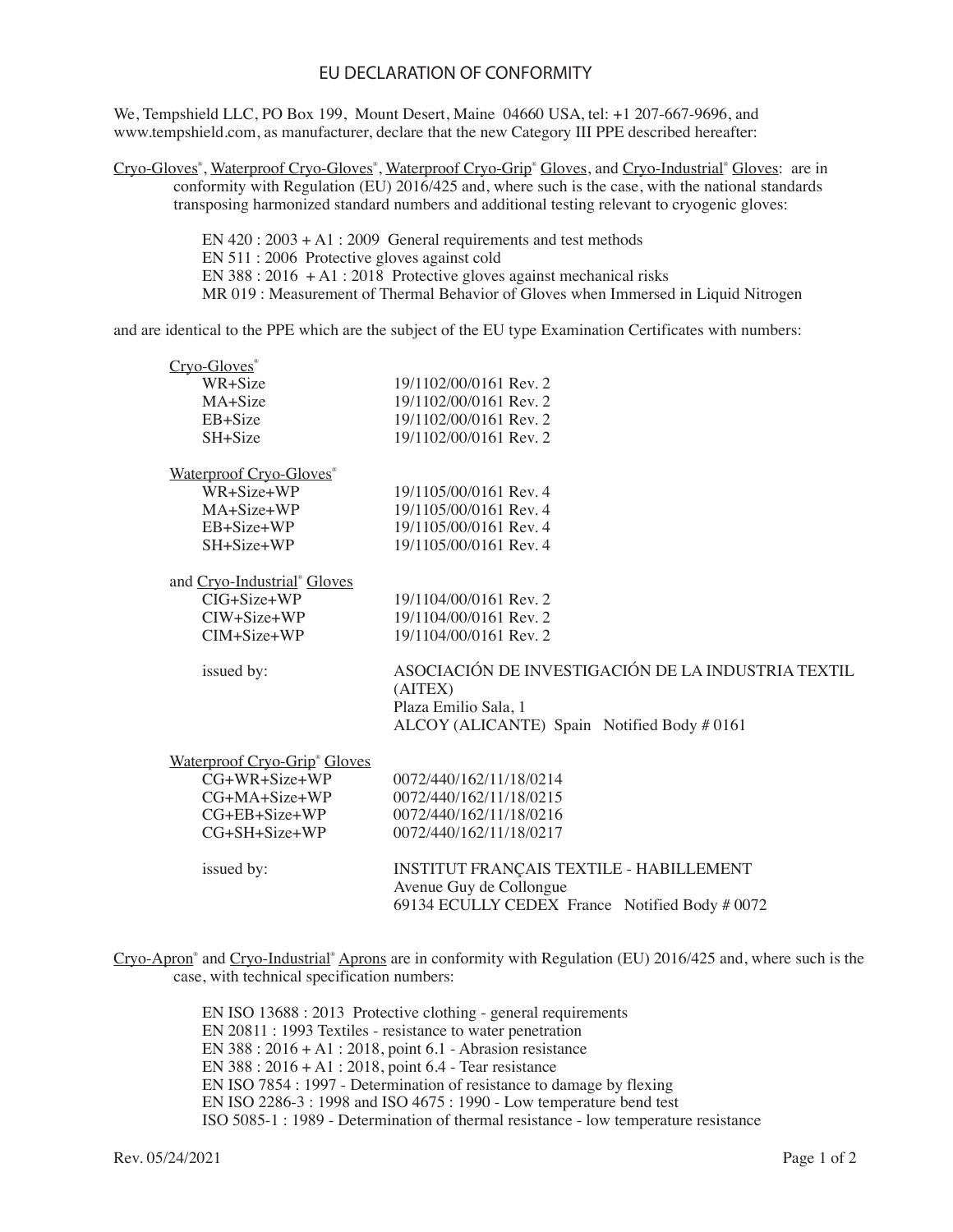## EU DECLARATION OF CONFORMITY

We, Tempshield LLC, PO Box 199, Mount Desert, Maine 04660 USA, tel: +1 207-667-9696, and www.tempshield.com, as manufacturer, declare that the new Category III PPE described hereafter:

Cryo-Gloves<sup>®</sup>, Waterproof Cryo-Gloves<sup>®</sup>, Waterproof Cryo-Grip<sup>®</sup> Gloves, and Cryo-Industrial<sup>®</sup> Gloves: are in conformity with Regulation (EU) 2016/425 and, where such is the case, with the national standards transposing harmonized standard numbers and additional testing relevant to cryogenic gloves:

> EN 420 : 2003 + A1 : 2009 General requirements and test methods EN 511 : 2006 Protective gloves against cold EN 388 : 2016 + A1 : 2018 Protective gloves against mechanical risks MR 019 : Measurement of Thermal Behavior of Gloves when Immersed in Liquid Nitrogen

and are identical to the PPE which are the subject of the EU type Examination Certificates with numbers:

| Cryo-Gloves <sup>®</sup>                 |                                                                          |
|------------------------------------------|--------------------------------------------------------------------------|
| WR+Size                                  | 19/1102/00/0161 Rev. 2                                                   |
| MA+Size                                  | 19/1102/00/0161 Rev. 2                                                   |
| EB+Size                                  | 19/1102/00/0161 Rev. 2                                                   |
| SH+Size                                  | 19/1102/00/0161 Rev. 2                                                   |
| Waterproof Cryo-Gloves®                  |                                                                          |
| WR+Size+WP                               | 19/1105/00/0161 Rev. 4                                                   |
| MA+Size+WP                               | 19/1105/00/0161 Rev. 4                                                   |
| $EB + Size + WP$                         | 19/1105/00/0161 Rev. 4                                                   |
| $SH+Size+WP$                             | 19/1105/00/0161 Rev. 4                                                   |
| and Cryo-Industrial® Gloves              |                                                                          |
| CIG+Size+WP                              | 19/1104/00/0161 Rev. 2                                                   |
| $CIW + Size + WP$                        | 19/1104/00/0161 Rev. 2                                                   |
| $CIM + Size + WP$                        | 19/1104/00/0161 Rev. 2                                                   |
| issued by:                               | ASOCIACIÓN DE INVESTIGACIÓN DE LA INDUSTRIA TEXTIL<br>(AITEX)            |
|                                          | Plaza Emilio Sala, 1<br>ALCOY (ALICANTE) Spain Notified Body #0161       |
| Waterproof Cryo-Grip <sup>®</sup> Gloves |                                                                          |
| CG+WR+Size+WP                            | 0072/440/162/11/18/0214                                                  |
| CG+MA+Size+WP                            | 0072/440/162/11/18/0215                                                  |
| $CG+EB+Size+WP$                          | 0072/440/162/11/18/0216                                                  |
| $CG+SH+Size+WP$                          | 0072/440/162/11/18/0217                                                  |
|                                          |                                                                          |
| issued by:                               | INSTITUT FRANÇAIS TEXTILE - HABILLEMENT                                  |
|                                          | Avenue Guy de Collongue<br>69134 ECULLY CEDEX France Notified Body #0072 |
|                                          |                                                                          |

Cryo-Apron<sup>®</sup> and Cryo-Industrial<sup>®</sup> Aprons are in conformity with Regulation (EU) 2016/425 and, where such is the case, with technical specification numbers:

> EN ISO 13688 : 2013 Protective clothing - general requirements EN 20811 : 1993 Textiles - resistance to water penetration EN 388 : 2016 + A1 : 2018, point 6.1 - Abrasion resistance EN 388 : 2016 + A1 : 2018, point 6.4 - Tear resistance EN ISO 7854 : 1997 - Determination of resistance to damage by flexing EN ISO 2286-3 : 1998 and ISO 4675 : 1990 - Low temperature bend test ISO 5085-1 : 1989 - Determination of thermal resistance - low temperature resistance